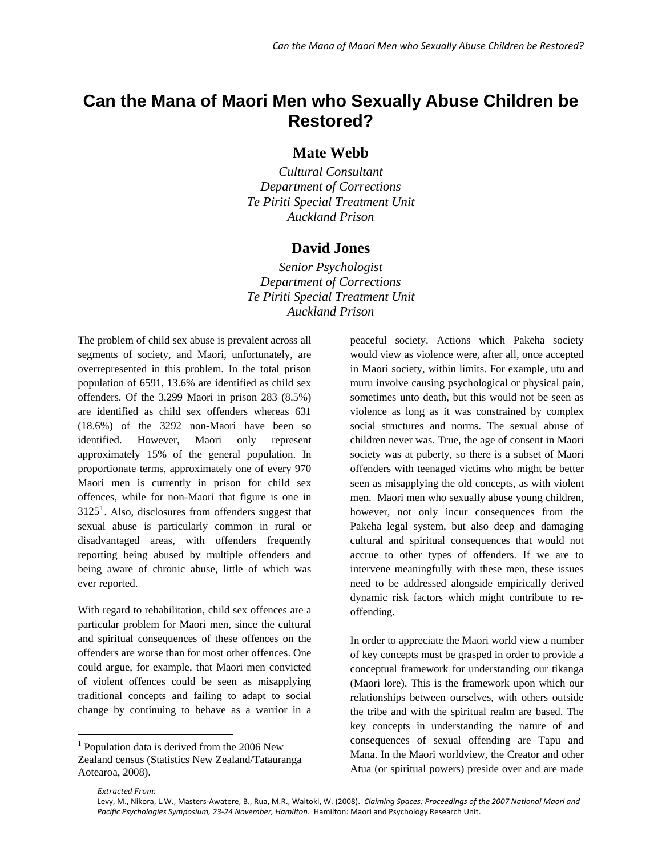## **Can the Mana of Maori Men who Sexually Abuse Children be Restored?**

**Mate Webb** 

*Cultural Consultant Department of Corrections Te Piriti Special Treatment Unit Auckland Prison* 

## **David Jones**

*Senior Psychologist Department of Corrections Te Piriti Special Treatment Unit Auckland Prison* 

The problem of child sex abuse is prevalent across all segments of society, and Maori, unfortunately, are overrepresented in this problem. In the total prison population of 6591, 13.6% are identified as child sex offenders. Of the 3,299 Maori in prison 283 (8.5%) are identified as child sex offenders whereas 631 (18.6%) of the 3292 non-Maori have been so identified. However, Maori only represent approximately 15% of the general population. In proportionate terms, approximately one of every 970 Maori men is currently in prison for child sex offences, while for non-Maori that figure is one in  $3125<sup>1</sup>$  $3125<sup>1</sup>$  $3125<sup>1</sup>$ . Also, disclosures from offenders suggest that sexual abuse is particularly common in rural or disadvantaged areas, with offenders frequently reporting being abused by multiple offenders and being aware of chronic abuse, little of which was ever reported.

With regard to rehabilitation, child sex offences are a particular problem for Maori men, since the cultural and spiritual consequences of these offences on the offenders are worse than for most other offences. One could argue, for example, that Maori men convicted of violent offences could be seen as misapplying traditional concepts and failing to adapt to social change by continuing to behave as a warrior in a peaceful society. Actions which Pakeha society would view as violence were, after all, once accepted in Maori society, within limits. For example, utu and muru involve causing psychological or physical pain, sometimes unto death, but this would not be seen as violence as long as it was constrained by complex social structures and norms. The sexual abuse of children never was. True, the age of consent in Maori society was at puberty, so there is a subset of Maori offenders with teenaged victims who might be better seen as misapplying the old concepts, as with violent men. Maori men who sexually abuse young children, however, not only incur consequences from the Pakeha legal system, but also deep and damaging cultural and spiritual consequences that would not accrue to other types of offenders. If we are to intervene meaningfully with these men, these issues need to be addressed alongside empirically derived dynamic risk factors which might contribute to reoffending.

In order to appreciate the Maori world view a number of key concepts must be grasped in order to provide a conceptual framework for understanding our tikanga (Maori lore). This is the framework upon which our relationships between ourselves, with others outside the tribe and with the spiritual realm are based. The key concepts in understanding the nature of and consequences of sexual offending are Tapu and Mana. In the Maori worldview, the Creator and other Atua (or spiritual powers) preside over and are made

 $\overline{a}$ 

<span id="page-0-0"></span><sup>&</sup>lt;sup>1</sup> Population data is derived from the 2006 New Zealand census (Statistics New Zealand/Tatauranga Aotearoa, 2008).

*Extracted From:*

Levy, M., Nikora, L.W., Masters‐Awatere, B., Rua, M.R., Waitoki, W. (2008). *Claiming Spaces: Proceedings of the 2007 National Maori and Pacific Psychologies Symposium, 23‐24 November, Hamilton*. Hamilton: Maori and Psychology Research Unit.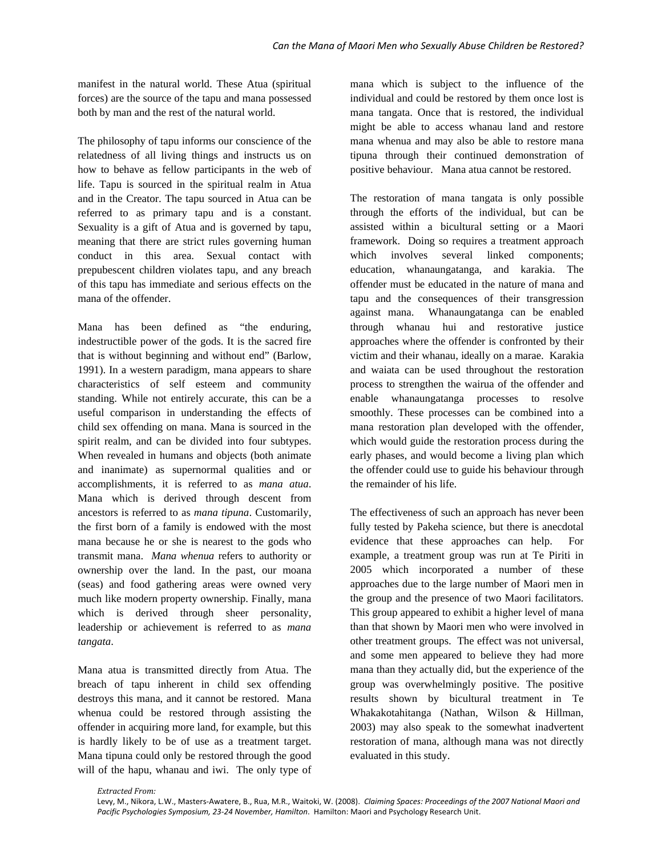manifest in the natural world. These Atua (spiritual forces) are the source of the tapu and mana possessed both by man and the rest of the natural world.

The philosophy of tapu informs our conscience of the relatedness of all living things and instructs us on how to behave as fellow participants in the web of life. Tapu is sourced in the spiritual realm in Atua and in the Creator. The tapu sourced in Atua can be referred to as primary tapu and is a constant. Sexuality is a gift of Atua and is governed by tapu, meaning that there are strict rules governing human conduct in this area. Sexual contact with prepubescent children violates tapu, and any breach of this tapu has immediate and serious effects on the mana of the offender.

Mana has been defined as "the enduring, indestructible power of the gods. It is the sacred fire that is without beginning and without end" (Barlow, 1991). In a western paradigm, mana appears to share characteristics of self esteem and community standing. While not entirely accurate, this can be a useful comparison in understanding the effects of child sex offending on mana. Mana is sourced in the spirit realm, and can be divided into four subtypes. When revealed in humans and objects (both animate and inanimate) as supernormal qualities and or accomplishments, it is referred to as *mana atua*. Mana which is derived through descent from ancestors is referred to as *mana tipuna*. Customarily, the first born of a family is endowed with the most mana because he or she is nearest to the gods who transmit mana. *Mana whenua* refers to authority or ownership over the land. In the past, our moana (seas) and food gathering areas were owned very much like modern property ownership. Finally, mana which is derived through sheer personality, leadership or achievement is referred to as *mana tangata*.

Mana atua is transmitted directly from Atua. The breach of tapu inherent in child sex offending destroys this mana, and it cannot be restored. Mana whenua could be restored through assisting the offender in acquiring more land, for example, but this is hardly likely to be of use as a treatment target. Mana tipuna could only be restored through the good will of the hapu, whanau and iwi. The only type of

mana which is subject to the influence of the individual and could be restored by them once lost is mana tangata. Once that is restored, the individual might be able to access whanau land and restore mana whenua and may also be able to restore mana tipuna through their continued demonstration of positive behaviour. Mana atua cannot be restored.

The restoration of mana tangata is only possible through the efforts of the individual, but can be assisted within a bicultural setting or a Maori framework. Doing so requires a treatment approach which involves several linked components; education, whanaungatanga, and karakia. The offender must be educated in the nature of mana and tapu and the consequences of their transgression against mana. Whanaungatanga can be enabled through whanau hui and restorative justice approaches where the offender is confronted by their victim and their whanau, ideally on a marae. Karakia and waiata can be used throughout the restoration process to strengthen the wairua of the offender and enable whanaungatanga processes to resolve smoothly. These processes can be combined into a mana restoration plan developed with the offender, which would guide the restoration process during the early phases, and would become a living plan which the offender could use to guide his behaviour through the remainder of his life.

The effectiveness of such an approach has never been fully tested by Pakeha science, but there is anecdotal evidence that these approaches can help. For example, a treatment group was run at Te Piriti in 2005 which incorporated a number of these approaches due to the large number of Maori men in the group and the presence of two Maori facilitators. This group appeared to exhibit a higher level of mana than that shown by Maori men who were involved in other treatment groups. The effect was not universal, and some men appeared to believe they had more mana than they actually did, but the experience of the group was overwhelmingly positive. The positive results shown by bicultural treatment in Te Whakakotahitanga (Nathan, Wilson & Hillman, 2003) may also speak to the somewhat inadvertent restoration of mana, although mana was not directly evaluated in this study.

*Extracted From:*